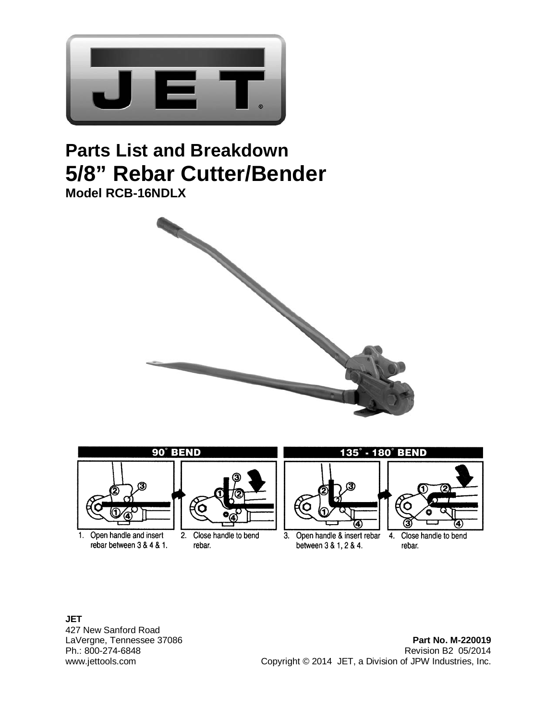

## **Parts List and Breakdown 5/8" Rebar Cutter/Bender Model RCB-16NDLX**





**JET**  427 New Sanford Road

LaVergne, Tennessee 37086 **Part No. M-220019** Revision B2 05/2014 www.jettools.com Copyright © 2014 JET, a Division of JPW Industries, Inc.